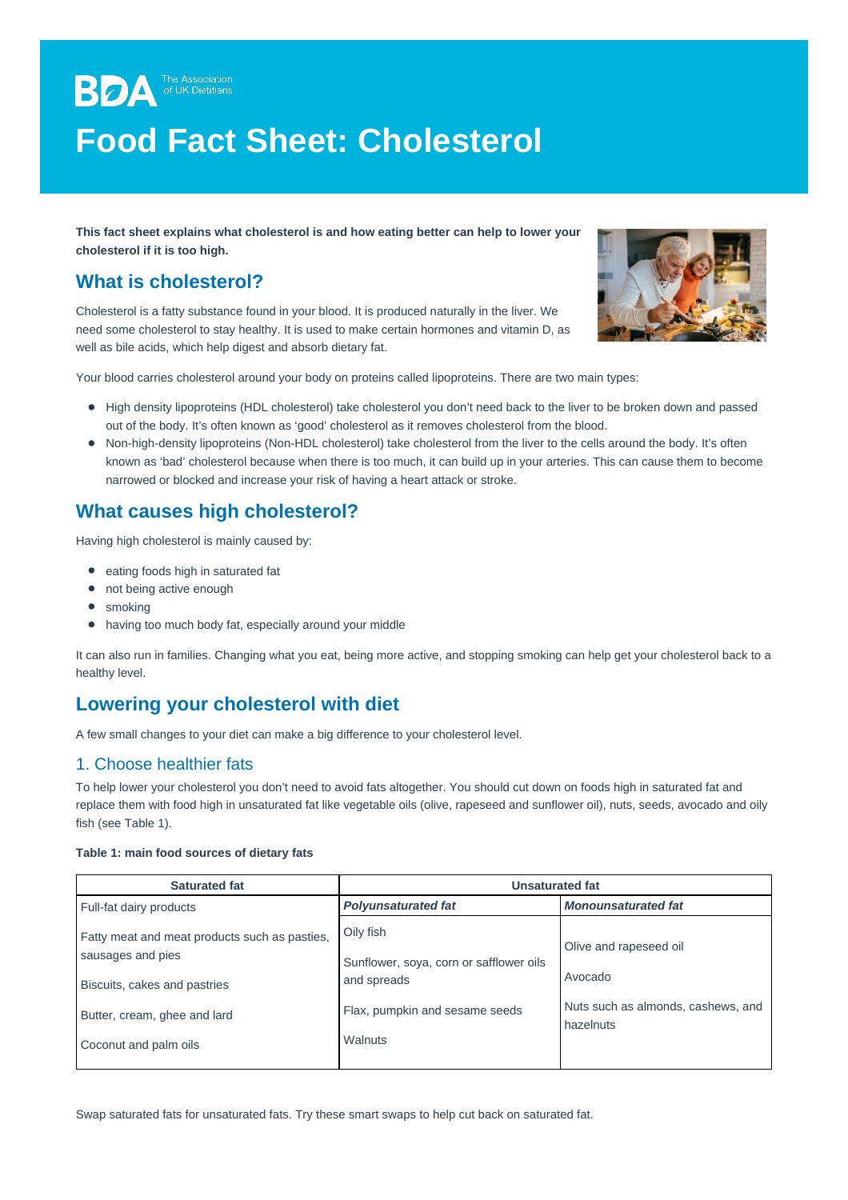**BDA** The Association **Food Fact Sheet: Cholesterol**

**This fact sheet explains what cholesterol is and how eating better can help to lower your cholesterol if it is too high.**

# **What is cholesterol?**

Cholesterol is a fatty substance found in your blood. It is produced naturally in the liver. We need some cholesterol to stay healthy. It is used to make certain hormones and vitamin D, as well as bile acids, which help digest and absorb dietary fat.



Your blood carries cholesterol around your body on proteins called lipoproteins. There are two main types:

- High density lipoproteins (HDL cholesterol) take cholesterol you don't need back to the liver to be broken down and passed out of the body. It's often known as 'good' cholesterol as it removes cholesterol from the blood.
- Non-high-density lipoproteins (Non-HDL cholesterol) take cholesterol from the liver to the cells around the body. It's often known as 'bad' cholesterol because when there is too much, it can build up in your arteries. This can cause them to become narrowed or blocked and increase your risk of having a heart attack or stroke.

# **What causes high cholesterol?**

Having high cholesterol is mainly caused by:

- eating foods high in saturated fat
- not being active enough
- smoking
- having too much body fat, especially around your middle

It can also run in families. Changing what you eat, being more active, and stopping smoking can help get your cholesterol back to a healthy level.

## **Lowering your cholesterol with diet**

A few small changes to your diet can make a big difference to your cholesterol level.

#### 1. Choose healthier fats

To help lower your cholesterol you don't need to avoid fats altogether. You should cut down on foods high in saturated fat and replace them with food high in unsaturated fat like vegetable oils (olive, rapeseed and sunflower oil), nuts, seeds, avocado and oilv fish (see Table 1).

#### **Table 1: main food sources of dietary fats**

| <b>Saturated fat</b>                                                                                                                                        | Unsaturated fat                                                                                                  |                                                                                      |
|-------------------------------------------------------------------------------------------------------------------------------------------------------------|------------------------------------------------------------------------------------------------------------------|--------------------------------------------------------------------------------------|
| Full-fat dairy products                                                                                                                                     | <b>Polyunsaturated fat</b>                                                                                       | <b>Monounsaturated fat</b>                                                           |
| Fatty meat and meat products such as pasties,<br>sausages and pies<br>Biscuits, cakes and pastries<br>Butter, cream, ghee and lard<br>Coconut and palm oils | Oily fish<br>Sunflower, soya, corn or safflower oils<br>and spreads<br>Flax, pumpkin and sesame seeds<br>Walnuts | Olive and rapeseed oil<br>Avocado<br>Nuts such as almonds, cashews, and<br>hazelnuts |

Swap saturated fats for unsaturated fats. Try these smart swaps to help cut back on saturated fat.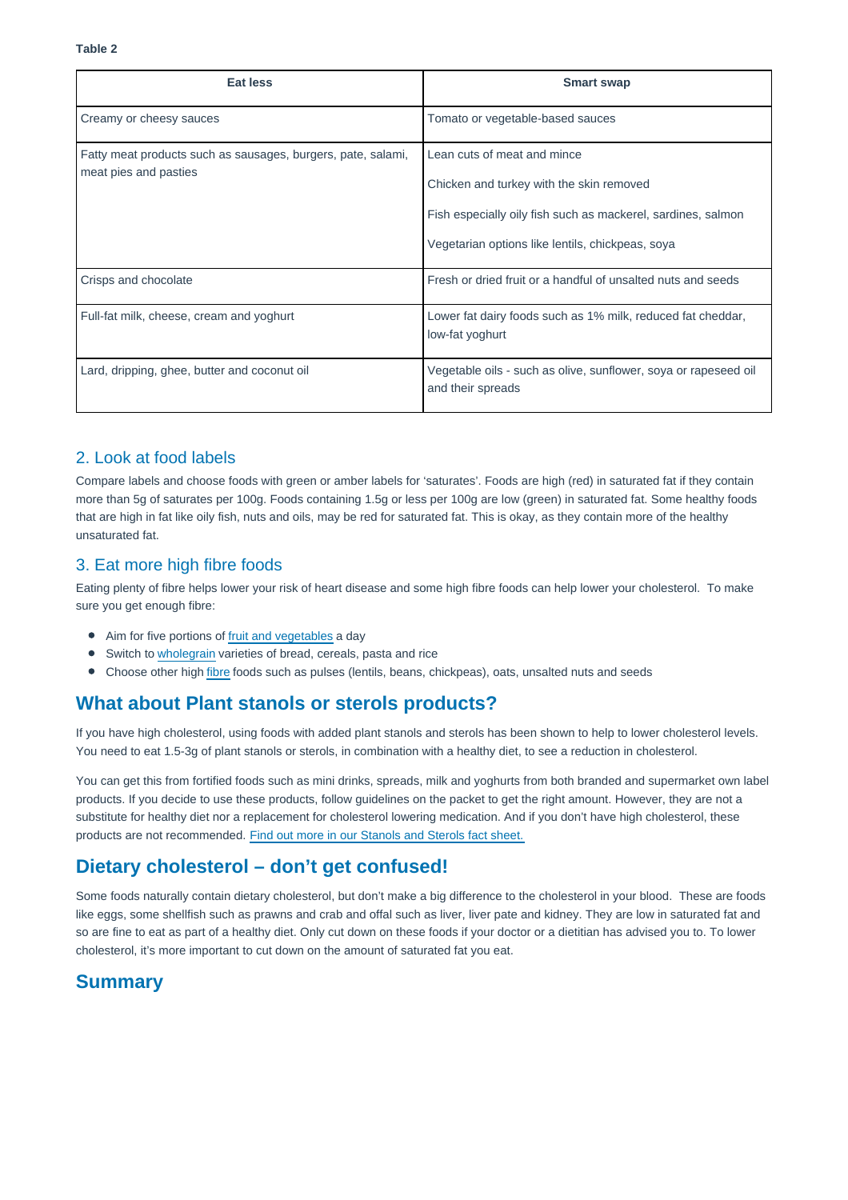| Eat less                                                                              | <b>Smart swap</b>                                                                                                                                                                           |
|---------------------------------------------------------------------------------------|---------------------------------------------------------------------------------------------------------------------------------------------------------------------------------------------|
| Creamy or cheesy sauces                                                               | Tomato or vegetable-based sauces                                                                                                                                                            |
| Fatty meat products such as sausages, burgers, pate, salami,<br>meat pies and pasties | Lean cuts of meat and mince<br>Chicken and turkey with the skin removed<br>Fish especially oily fish such as mackerel, sardines, salmon<br>Vegetarian options like lentils, chickpeas, soya |
| Crisps and chocolate                                                                  | Fresh or dried fruit or a handful of unsalted nuts and seeds                                                                                                                                |
| Full-fat milk, cheese, cream and yoghurt                                              | Lower fat dairy foods such as 1% milk, reduced fat cheddar,<br>low-fat yoghurt                                                                                                              |
| Lard, dripping, ghee, butter and coconut oil                                          | Vegetable oils - such as olive, sunflower, soya or rapeseed oil<br>and their spreads                                                                                                        |

### 2. Look at food labels

Compare labels and choose foods with green or amber labels for 'saturates'. Foods are high (red) in saturated fat if they contain more than 5g of saturates per 100g. Foods containing 1.5g or less per 100g are low (green) in saturated fat. Some healthy foods that are high in fat like oily fish, nuts and oils, may be red for saturated fat. This is okay, as they contain more of the healthy unsaturated fat.

#### 3. Eat more high fibre foods

Eating plenty of fibre helps lower your risk of heart disease and some high fibre foods can help lower your cholesterol. To make sure you get enough fibre:

- Aim for five portions of [fruit and vegetables](https://www.bda.uk.com/resource/fruit-and-vegetables-how-to-get-five-a-day.html) a day
- Switch to [wholegrain](https://www.bda.uk.com/resource/wholegrains.html) varieties of bread, cereals, pasta and rice
- $\bullet$ Choose other high [fibre](https://www.bda.uk.com/resource/fibre.html) foods such as pulses (lentils, beans, chickpeas), oats, unsalted nuts and seeds

## **What about Plant stanols or sterols products?**

If you have high cholesterol, using foods with added plant stanols and sterols has been shown to help to lower cholesterol levels. You need to eat 1.5-3g of plant stanols or sterols, in combination with a healthy diet, to see a reduction in cholesterol.

You can get this from fortified foods such as mini drinks, spreads, milk and yoghurts from both branded and supermarket own label products. If you decide to use these products, follow guidelines on the packet to get the right amount. However, they are not a substitute for healthy diet nor a replacement for cholesterol lowering medication. And if you don't have high cholesterol, these products are not recommended. [Find out more in our Stanols and Sterols fact sheet.](https://www.bda.uk.com/resource/food-facts-plant-stanols-and-sterols.html)

# **Dietary cholesterol – don't get confused!**

Some foods naturally contain dietary cholesterol, but don't make a big difference to the cholesterol in your blood. These are foods like eggs, some shellfish such as prawns and crab and offal such as liver, liver pate and kidney. They are low in saturated fat and so are fine to eat as part of a healthy diet. Only cut down on these foods if your doctor or a dietitian has advised you to. To lower cholesterol, it's more important to cut down on the amount of saturated fat you eat.

# **Summary**